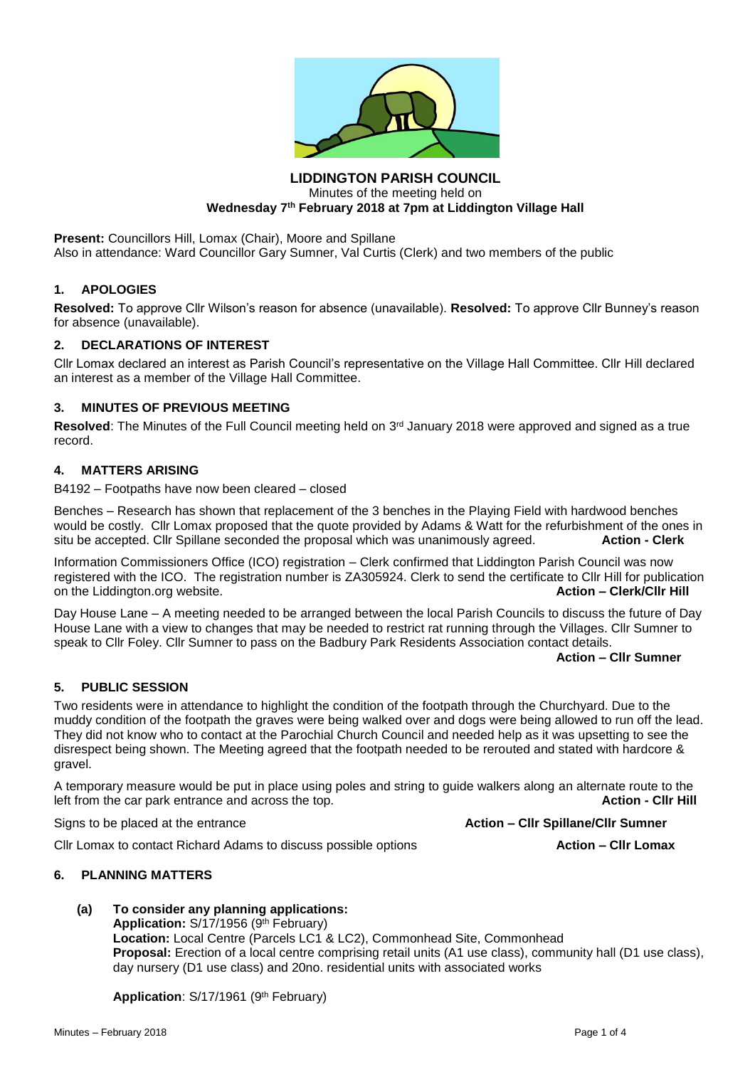

## **LIDDINGTON PARISH COUNCIL** Minutes of the meeting held on **Wednesday 7th February 2018 at 7pm at Liddington Village Hall**

**Present: Councillors Hill, Lomax (Chair), Moore and Spillane** Also in attendance: Ward Councillor Gary Sumner, Val Curtis (Clerk) and two members of the public

#### **1. APOLOGIES**

**Resolved:** To approve Cllr Wilson's reason for absence (unavailable). **Resolved:** To approve Cllr Bunney's reason for absence (unavailable).

#### **2. DECLARATIONS OF INTEREST**

Cllr Lomax declared an interest as Parish Council's representative on the Village Hall Committee. Cllr Hill declared an interest as a member of the Village Hall Committee.

## **3. MINUTES OF PREVIOUS MEETING**

Resolved: The Minutes of the Full Council meeting held on 3<sup>rd</sup> January 2018 were approved and signed as a true record.

#### **4. MATTERS ARISING**

B4192 – Footpaths have now been cleared – closed

Benches – Research has shown that replacement of the 3 benches in the Playing Field with hardwood benches would be costly. Cllr Lomax proposed that the quote provided by Adams & Watt for the refurbishment of the ones in situ be accepted. Cllr Spillane seconded the proposal which was unanimously agreed. **Action - Clerk**

Information Commissioners Office (ICO) registration – Clerk confirmed that Liddington Parish Council was now registered with the ICO. The registration number is ZA305924. Clerk to send the certificate to Cllr Hill for publication<br>On the Liddinaton.org website. on the Liddington.org website.

Day House Lane – A meeting needed to be arranged between the local Parish Councils to discuss the future of Day House Lane with a view to changes that may be needed to restrict rat running through the Villages. Cllr Sumner to speak to Cllr Foley. Cllr Sumner to pass on the Badbury Park Residents Association contact details.

**Action – Cllr Sumner**

## **5. PUBLIC SESSION**

Two residents were in attendance to highlight the condition of the footpath through the Churchyard. Due to the muddy condition of the footpath the graves were being walked over and dogs were being allowed to run off the lead. They did not know who to contact at the Parochial Church Council and needed help as it was upsetting to see the disrespect being shown. The Meeting agreed that the footpath needed to be rerouted and stated with hardcore & gravel.

A temporary measure would be put in place using poles and string to guide walkers along an alternate route to the left from the car park entrance and across the top. **Action - Clir Hill Action - Clir Hill Action - Clir Hill** 

Signs to be placed at the entrance **Action – Cllr Spillane/Cllr Sumner**

Cllr Lomax to contact Richard Adams to discuss possible options **Action – Cllr Lomax**

#### **6. PLANNING MATTERS**

**(a) To consider any planning applications:**

Application: S/17/1956 (9<sup>th</sup> February) **Location:** Local Centre (Parcels LC1 & LC2), Commonhead Site, Commonhead **Proposal:** Erection of a local centre comprising retail units (A1 use class), community hall (D1 use class), day nursery (D1 use class) and 20no. residential units with associated works

Application: S/17/1961 (9<sup>th</sup> February)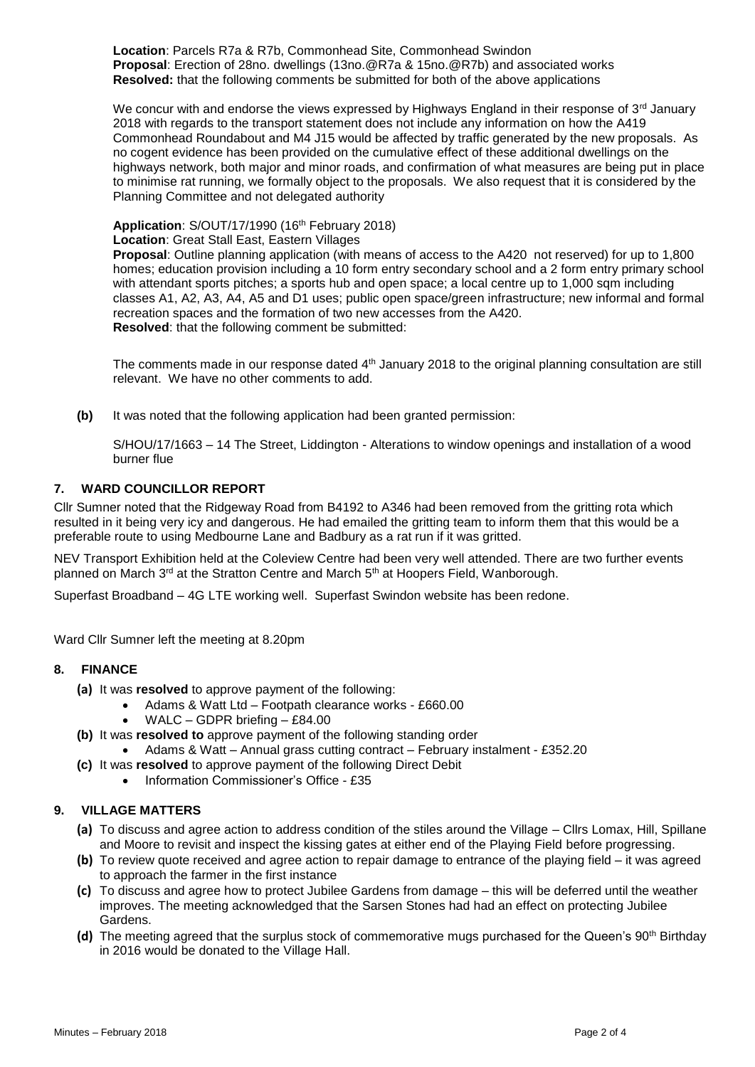**Location**: Parcels R7a & R7b, Commonhead Site, Commonhead Swindon **Proposal**: Erection of 28no. dwellings (13no.@R7a & 15no.@R7b) and associated works **Resolved:** that the following comments be submitted for both of the above applications

We concur with and endorse the views expressed by Highways England in their response of  $3<sup>rd</sup>$  January 2018 with regards to the transport statement does not include any information on how the A419 Commonhead Roundabout and M4 J15 would be affected by traffic generated by the new proposals. As no cogent evidence has been provided on the cumulative effect of these additional dwellings on the highways network, both major and minor roads, and confirmation of what measures are being put in place to minimise rat running, we formally object to the proposals. We also request that it is considered by the Planning Committee and not delegated authority

Application: S/OUT/17/1990 (16<sup>th</sup> February 2018) **Location**: Great Stall East, Eastern Villages

**Proposal**: Outline planning application (with means of access to the A420 not reserved) for up to 1,800 homes; education provision including a 10 form entry secondary school and a 2 form entry primary school with attendant sports pitches; a sports hub and open space; a local centre up to 1,000 sqm including classes A1, A2, A3, A4, A5 and D1 uses; public open space/green infrastructure; new informal and formal recreation spaces and the formation of two new accesses from the A420. **Resolved**: that the following comment be submitted:

The comments made in our response dated 4<sup>th</sup> January 2018 to the original planning consultation are still relevant. We have no other comments to add.

**(b)** It was noted that the following application had been granted permission:

S/HOU/17/1663 – 14 The Street, Liddington - Alterations to window openings and installation of a wood burner flue

## **7. WARD COUNCILLOR REPORT**

Cllr Sumner noted that the Ridgeway Road from B4192 to A346 had been removed from the gritting rota which resulted in it being very icy and dangerous. He had emailed the gritting team to inform them that this would be a preferable route to using Medbourne Lane and Badbury as a rat run if it was gritted.

NEV Transport Exhibition held at the Coleview Centre had been very well attended. There are two further events planned on March  $3^{rd}$  at the Stratton Centre and March  $5^{th}$  at Hoopers Field, Wanborough.

Superfast Broadband – 4G LTE working well. Superfast Swindon website has been redone.

Ward Cllr Sumner left the meeting at 8.20pm

## **8. FINANCE**

- **(a)** It was **resolved** to approve payment of the following:
	- Adams & Watt Ltd Footpath clearance works £660.00
		- WALC GDPR briefing £84.00
- **(b)** It was **resolved to** approve payment of the following standing order
	- Adams & Watt Annual grass cutting contract February instalment £352.20
- **(c)** It was **resolved** to approve payment of the following Direct Debit
	- Information Commissioner's Office £35

# **9. VILLAGE MATTERS**

- **(a)** To discuss and agree action to address condition of the stiles around the Village Cllrs Lomax, Hill, Spillane and Moore to revisit and inspect the kissing gates at either end of the Playing Field before progressing.
- **(b)** To review quote received and agree action to repair damage to entrance of the playing field it was agreed to approach the farmer in the first instance
- **(c)** To discuss and agree how to protect Jubilee Gardens from damage this will be deferred until the weather improves. The meeting acknowledged that the Sarsen Stones had had an effect on protecting Jubilee Gardens.
- **(d)** The meeting agreed that the surplus stock of commemorative mugs purchased for the Queen's 90<sup>th</sup> Birthday in 2016 would be donated to the Village Hall.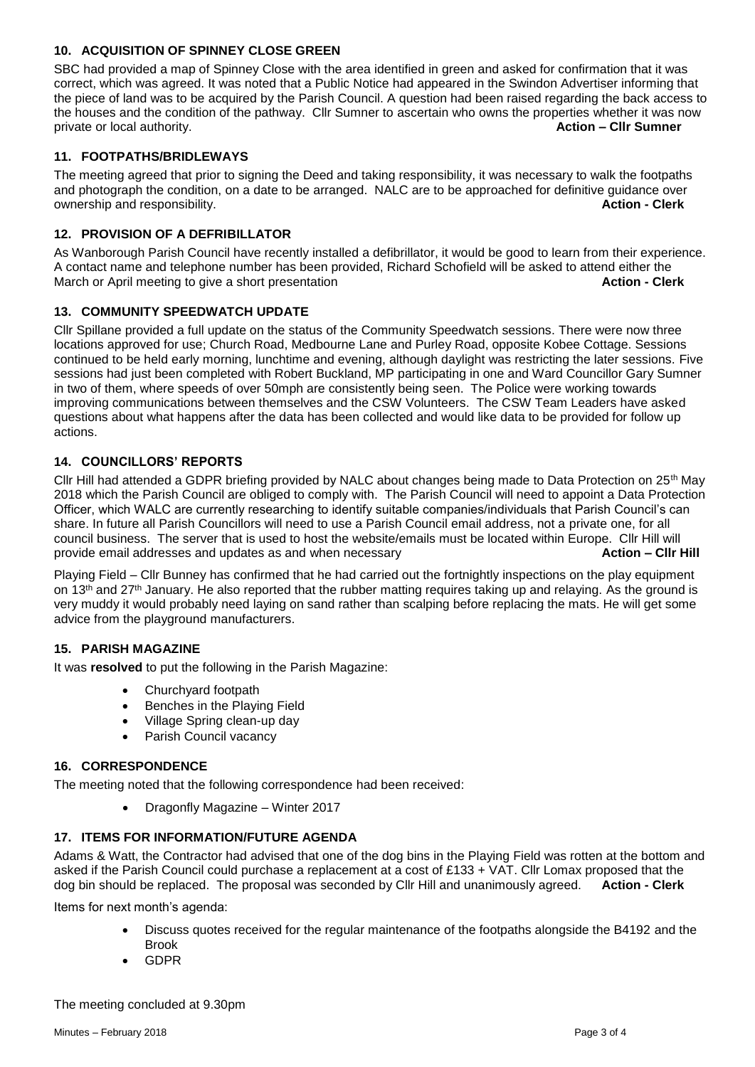# **10. ACQUISITION OF SPINNEY CLOSE GREEN**

SBC had provided a map of Spinney Close with the area identified in green and asked for confirmation that it was correct, which was agreed. It was noted that a Public Notice had appeared in the Swindon Advertiser informing that the piece of land was to be acquired by the Parish Council. A question had been raised regarding the back access to the houses and the condition of the pathway. Cllr Sumner to ascertain who owns the properties whether it was now private or local authority. **Action – Cllr Sumner**

# **11. FOOTPATHS/BRIDLEWAYS**

The meeting agreed that prior to signing the Deed and taking responsibility, it was necessary to walk the footpaths and photograph the condition, on a date to be arranged. NALC are to be approached for definitive guidance over ownership and responsibility. **Action - Clerk**

# **12. PROVISION OF A DEFRIBILLATOR**

As Wanborough Parish Council have recently installed a defibrillator, it would be good to learn from their experience. A contact name and telephone number has been provided, Richard Schofield will be asked to attend either the March or April meeting to give a short presentation **Action - Clerk**

# **13. COMMUNITY SPEEDWATCH UPDATE**

Cllr Spillane provided a full update on the status of the Community Speedwatch sessions. There were now three locations approved for use; Church Road, Medbourne Lane and Purley Road, opposite Kobee Cottage. Sessions continued to be held early morning, lunchtime and evening, although daylight was restricting the later sessions. Five sessions had just been completed with Robert Buckland, MP participating in one and Ward Councillor Gary Sumner in two of them, where speeds of over 50mph are consistently being seen. The Police were working towards improving communications between themselves and the CSW Volunteers. The CSW Team Leaders have asked questions about what happens after the data has been collected and would like data to be provided for follow up actions.

## **14. COUNCILLORS' REPORTS**

Cllr Hill had attended a GDPR briefing provided by NALC about changes being made to Data Protection on 25th May 2018 which the Parish Council are obliged to comply with. The Parish Council will need to appoint a Data Protection Officer, which WALC are currently researching to identify suitable companies/individuals that Parish Council's can share. In future all Parish Councillors will need to use a Parish Council email address, not a private one, for all council business. The server that is used to host the website/emails must be located within Europe. Cllr Hill will provide email addresses and updates as and when necessary **Action – Cllr Hill**

Playing Field – Cllr Bunney has confirmed that he had carried out the fortnightly inspections on the play equipment on 13<sup>th</sup> and 27<sup>th</sup> January. He also reported that the rubber matting requires taking up and relaying. As the ground is very muddy it would probably need laying on sand rather than scalping before replacing the mats. He will get some advice from the playground manufacturers.

## **15. PARISH MAGAZINE**

It was **resolved** to put the following in the Parish Magazine:

- Churchyard footpath
- Benches in the Playing Field
- Village Spring clean-up day
- Parish Council vacancy

## **16. CORRESPONDENCE**

The meeting noted that the following correspondence had been received:

• Dragonfly Magazine – Winter 2017

## **17. ITEMS FOR INFORMATION/FUTURE AGENDA**

Adams & Watt, the Contractor had advised that one of the dog bins in the Playing Field was rotten at the bottom and asked if the Parish Council could purchase a replacement at a cost of £133 + VAT. Cllr Lomax proposed that the dog bin should be replaced. The proposal was seconded by Cllr Hill and unanimously agreed. **Action - Clerk**

Items for next month's agenda:

- Discuss quotes received for the regular maintenance of the footpaths alongside the B4192 and the Brook
- GDPR

The meeting concluded at 9.30pm